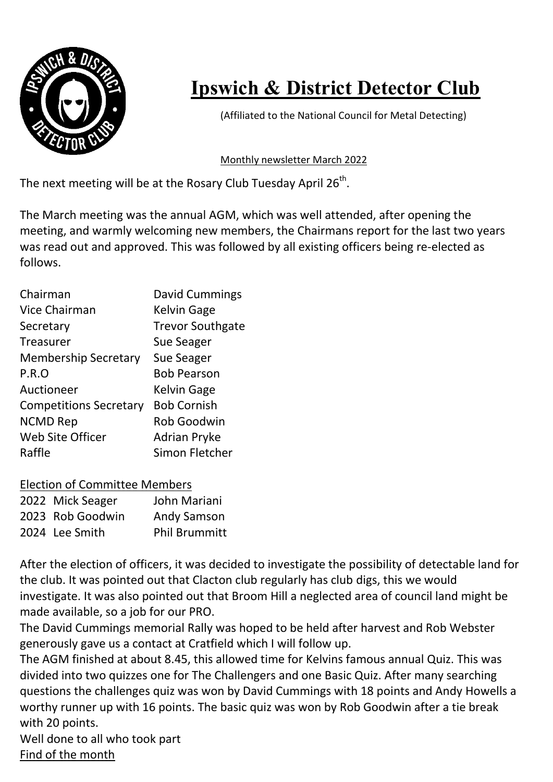

## Ipswich & District Detector Club

(Affiliated to the National Council for Metal Detecting)

## Monthly newsletter March 2022

The next meeting will be at the Rosary Club Tuesday April 26<sup>th</sup>.

The March meeting was the annual AGM, which was well attended, after opening the meeting, and warmly welcoming new members, the Chairmans report for the last two years was read out and approved. This was followed by all existing officers being re-elected as follows.

| David Cummings          |
|-------------------------|
| <b>Kelvin Gage</b>      |
| <b>Trevor Southgate</b> |
| <b>Sue Seager</b>       |
| Sue Seager              |
| <b>Bob Pearson</b>      |
| <b>Kelvin Gage</b>      |
| <b>Bob Cornish</b>      |
| <b>Rob Goodwin</b>      |
| <b>Adrian Pryke</b>     |
| Simon Fletcher          |
|                         |

| <b>Election of Committee Members</b> |           |
|--------------------------------------|-----------|
| 2022 Mick Congor                     | Iohn Mori |

| 2022 Mick Seager | John Mariani         |
|------------------|----------------------|
| 2023 Rob Goodwin | <b>Andy Samson</b>   |
| 2024 Lee Smith   | <b>Phil Brummitt</b> |

After the election of officers, it was decided to investigate the possibility of detectable land for the club. It was pointed out that Clacton club regularly has club digs, this we would investigate. It was also pointed out that Broom Hill a neglected area of council land might be made available, so a job for our PRO.

The David Cummings memorial Rally was hoped to be held after harvest and Rob Webster generously gave us a contact at Cratfield which I will follow up.

The AGM finished at about 8.45, this allowed time for Kelvins famous annual Quiz. This was divided into two quizzes one for The Challengers and one Basic Quiz. After many searching questions the challenges quiz was won by David Cummings with 18 points and Andy Howells a worthy runner up with 16 points. The basic quiz was won by Rob Goodwin after a tie break with 20 points.

Well done to all who took part Find of the month